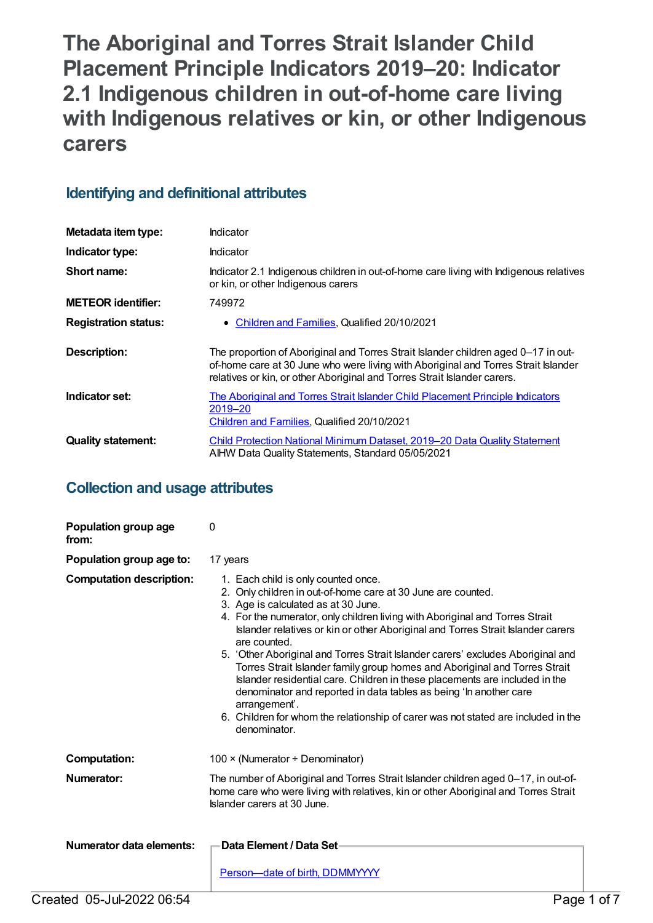**The Aboriginal and Torres Strait Islander Child Placement Principle Indicators 2019–20: Indicator 2.1 Indigenous children in out-of-home care living with Indigenous relatives or kin, or other Indigenous carers**

# **Identifying and definitional attributes**

| Metadata item type:         | Indicator                                                                                                                                                                                                                                            |
|-----------------------------|------------------------------------------------------------------------------------------------------------------------------------------------------------------------------------------------------------------------------------------------------|
| Indicator type:             | Indicator                                                                                                                                                                                                                                            |
| Short name:                 | Indicator 2.1 Indigenous children in out-of-home care living with Indigenous relatives<br>or kin, or other Indigenous carers                                                                                                                         |
| <b>METEOR identifier:</b>   | 749972                                                                                                                                                                                                                                               |
| <b>Registration status:</b> | • Children and Families, Qualified 20/10/2021                                                                                                                                                                                                        |
| <b>Description:</b>         | The proportion of Aboriginal and Torres Strait Islander children aged 0-17 in out-<br>of-home care at 30 June who were living with Aboriginal and Torres Strait Islander<br>relatives or kin, or other Aboriginal and Torres Strait Islander carers. |
| Indicator set:              | The Aboriginal and Torres Strait Islander Child Placement Principle Indicators<br>2019–20<br>Children and Families, Qualified 20/10/2021                                                                                                             |
| <b>Quality statement:</b>   | Child Protection National Minimum Dataset, 2019–20 Data Quality Statement<br>AIHW Data Quality Statements, Standard 05/05/2021                                                                                                                       |

# **Collection and usage attributes**

| Population group age<br>from:   | 0                                                                                                                                                                                                                                                                                                                                                                                                                                                                                                                                                                                                                                                                                                                                                                        |
|---------------------------------|--------------------------------------------------------------------------------------------------------------------------------------------------------------------------------------------------------------------------------------------------------------------------------------------------------------------------------------------------------------------------------------------------------------------------------------------------------------------------------------------------------------------------------------------------------------------------------------------------------------------------------------------------------------------------------------------------------------------------------------------------------------------------|
| Population group age to:        | 17 years                                                                                                                                                                                                                                                                                                                                                                                                                                                                                                                                                                                                                                                                                                                                                                 |
| <b>Computation description:</b> | 1. Each child is only counted once.<br>2. Only children in out-of-home care at 30 June are counted.<br>3. Age is calculated as at 30 June.<br>4. For the numerator, only children living with Aboriginal and Torres Strait<br>Islander relatives or kin or other Aboriginal and Torres Strait Islander carers<br>are counted.<br>5. 'Other Aboriginal and Torres Strait Islander carers' excludes Aboriginal and<br>Torres Strait Islander family group homes and Aboriginal and Torres Strait<br>Islander residential care. Children in these placements are included in the<br>denominator and reported in data tables as being 'In another care<br>arrangement'.<br>6. Children for whom the relationship of carer was not stated are included in the<br>denominator. |
| <b>Computation:</b>             | 100 $\times$ (Numerator ÷ Denominator)                                                                                                                                                                                                                                                                                                                                                                                                                                                                                                                                                                                                                                                                                                                                   |
| Numerator:                      | The number of Aboriginal and Torres Strait Islander children aged 0-17, in out-of-<br>home care who were living with relatives, kin or other Aboriginal and Torres Strait<br>Islander carers at 30 June.                                                                                                                                                                                                                                                                                                                                                                                                                                                                                                                                                                 |
| <b>Numerator data elements:</b> | Data Element / Data Set-<br>Person-date of birth, DDMMYYYY                                                                                                                                                                                                                                                                                                                                                                                                                                                                                                                                                                                                                                                                                                               |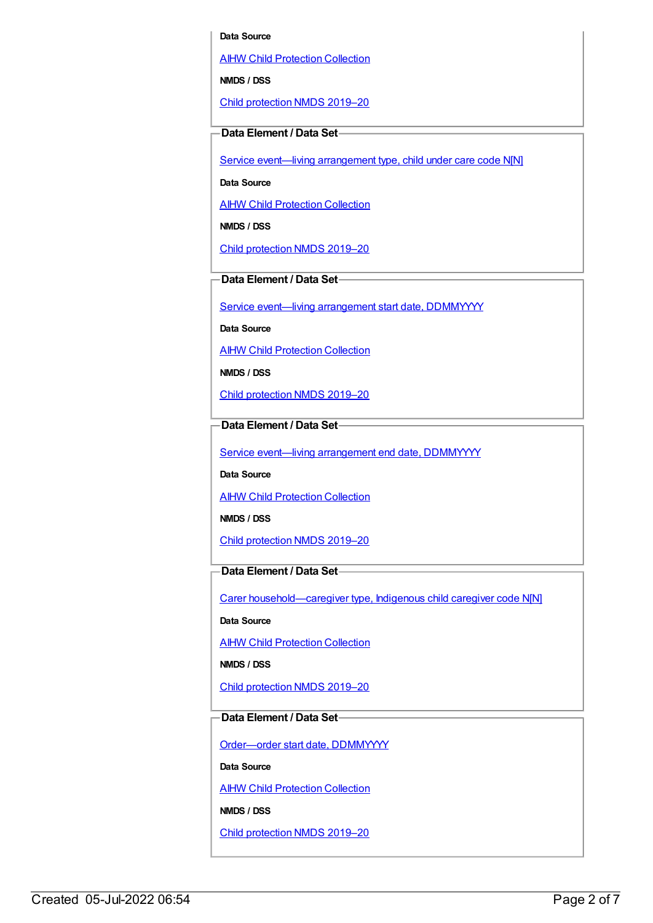#### **Data Source**

AIHW Child [Protection](https://meteor.aihw.gov.au/content/489543) Collection

**NMDS / DSS**

Child [protection](https://meteor.aihw.gov.au/content/740158) NMDS 2019–20

## **Data Element / Data Set**

Service event-living [arrangement](https://meteor.aihw.gov.au/content/689331) type, child under care code N[N]

**Data Source**

AIHW Child [Protection](https://meteor.aihw.gov.au/content/489543) Collection

**NMDS / DSS**

Child [protection](https://meteor.aihw.gov.au/content/740158) NMDS 2019–20

**Data Element / Data Set**

Service event—living [arrangement](https://meteor.aihw.gov.au/content/474217) start date, DDMMYYYY

**Data Source**

**AIHW Child [Protection](https://meteor.aihw.gov.au/content/489543) Collection** 

**NMDS / DSS**

Child [protection](https://meteor.aihw.gov.au/content/740158) NMDS 2019–20

**Data Element / Data Set**

Service event-living [arrangement](https://meteor.aihw.gov.au/content/474223) end date, DDMMYYYY

**Data Source**

**AIHW Child [Protection](https://meteor.aihw.gov.au/content/489543) Collection** 

**NMDS / DSS**

Child [protection](https://meteor.aihw.gov.au/content/740158) NMDS 2019–20

## **Data Element / Data Set**

Carer [household—caregiver](https://meteor.aihw.gov.au/content/524944) type, Indigenous child caregiver code N[N]

**Data Source**

AIHW Child [Protection](https://meteor.aihw.gov.au/content/489543) Collection

**NMDS / DSS**

Child [protection](https://meteor.aihw.gov.au/content/740158) NMDS 2019–20

## **Data Element / Data Set**

[Order—order](https://meteor.aihw.gov.au/content/536550) start date, DDMMYYYY

**Data Source**

**AIHW Child [Protection](https://meteor.aihw.gov.au/content/489543) Collection** 

**NMDS / DSS**

Child [protection](https://meteor.aihw.gov.au/content/740158) NMDS 2019–20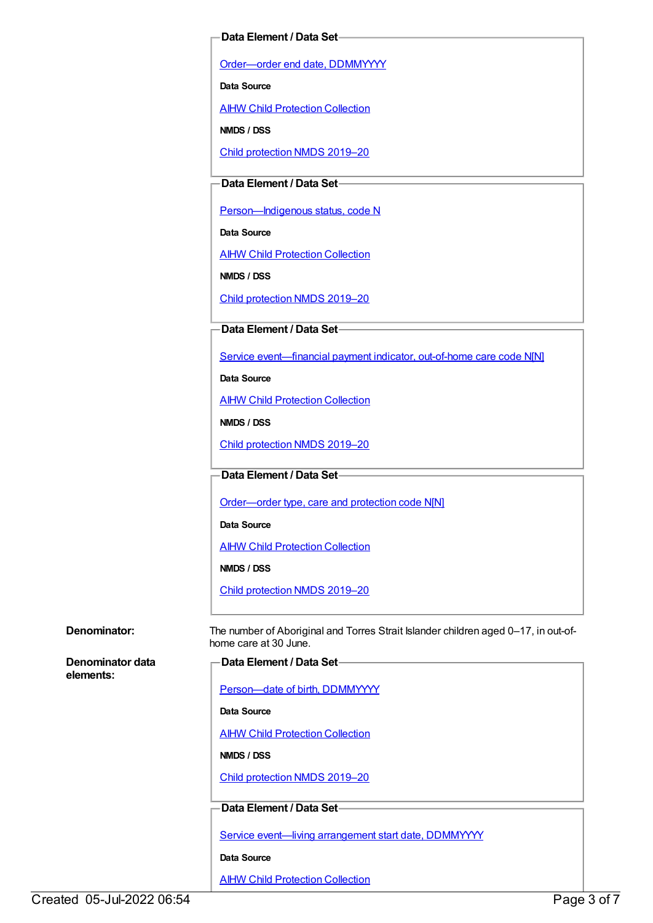### **Data Element / Data Set**

[Order—order](https://meteor.aihw.gov.au/content/536554) end date, DDMMYYYY

**Data Source**

AIHW Child [Protection](https://meteor.aihw.gov.au/content/489543) Collection

**NMDS / DSS**

Child [protection](https://meteor.aihw.gov.au/content/740158) NMDS 2019–20

## **Data Element / Data Set**

Person-Indigenous status, code N

**Data Source**

**AIHW Child [Protection](https://meteor.aihw.gov.au/content/489543) Collection** 

**NMDS / DSS**

Child [protection](https://meteor.aihw.gov.au/content/740158) NMDS 2019–20

## **Data Element / Data Set**

Service [event—financial](https://meteor.aihw.gov.au/content/652697) payment indicator, out-of-home care code N[N]

**Data Source**

**AIHW Child [Protection](https://meteor.aihw.gov.au/content/489543) Collection** 

**NMDS / DSS**

Child [protection](https://meteor.aihw.gov.au/content/740158) NMDS 2019–20

**Data Element / Data Set**

[Order—order](https://meteor.aihw.gov.au/content/657300) type, care and protection code N[N]

**Data Source**

AIHW Child [Protection](https://meteor.aihw.gov.au/content/489543) Collection

**NMDS / DSS**

Child [protection](https://meteor.aihw.gov.au/content/740158) NMDS 2019–20

**Denominator:** The number of Aboriginal and Torres Strait Islander children aged 0–17, in out-ofhome care at 30 June.

**Denominator data elements:**

|  | -Data Element / Data Set- |  |
|--|---------------------------|--|
|--|---------------------------|--|

[Person—date](https://meteor.aihw.gov.au/content/287007) of birth, DDMMYYYY

**Data Source**

**AIHW Child [Protection](https://meteor.aihw.gov.au/content/489543) Collection** 

**NMDS / DSS**

Child [protection](https://meteor.aihw.gov.au/content/740158) NMDS 2019–20

## **Data Element / Data Set**

Service event-living [arrangement](https://meteor.aihw.gov.au/content/474217) start date, DDMMYYYY

**Data Source**

**AIHW Child [Protection](https://meteor.aihw.gov.au/content/489543) Collection**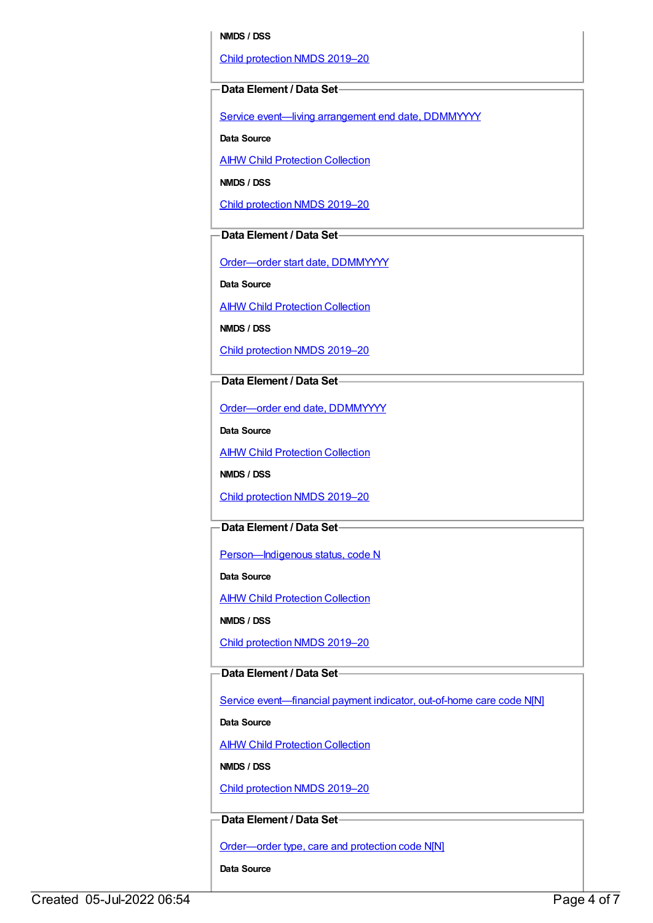#### **NMDS / DSS**

Child [protection](https://meteor.aihw.gov.au/content/740158) NMDS 2019–20

#### **Data Element / Data Set**

Service event—living [arrangement](https://meteor.aihw.gov.au/content/474223) end date, DDMMYYYY

**Data Source**

**AIHW Child [Protection](https://meteor.aihw.gov.au/content/489543) Collection** 

**NMDS / DSS**

Child [protection](https://meteor.aihw.gov.au/content/740158) NMDS 2019–20

## **Data Element / Data Set**

[Order—order](https://meteor.aihw.gov.au/content/536550) start date, DDMMYYYY

**Data Source**

AIHW Child [Protection](https://meteor.aihw.gov.au/content/489543) Collection

**NMDS / DSS**

Child [protection](https://meteor.aihw.gov.au/content/740158) NMDS 2019–20

## **Data Element / Data Set**

[Order—order](https://meteor.aihw.gov.au/content/536554) end date, DDMMYYYY

**Data Source**

**AIHW Child [Protection](https://meteor.aihw.gov.au/content/489543) Collection** 

**NMDS / DSS**

Child [protection](https://meteor.aihw.gov.au/content/740158) NMDS 2019–20

## **Data Element / Data Set**

Person-Indigenous status, code N

**Data Source**

**AIHW Child [Protection](https://meteor.aihw.gov.au/content/489543) Collection** 

**NMDS / DSS**

Child [protection](https://meteor.aihw.gov.au/content/740158) NMDS 2019–20

### **Data Element / Data Set**

Service event-financial payment indicator, out-of-home care code N[N]

**Data Source**

AIHW Child [Protection](https://meteor.aihw.gov.au/content/489543) Collection

**NMDS / DSS**

Child [protection](https://meteor.aihw.gov.au/content/740158) NMDS 2019–20

## **Data Element / Data Set**

[Order—order](https://meteor.aihw.gov.au/content/657300) type, care and protection code N[N]

**Data Source**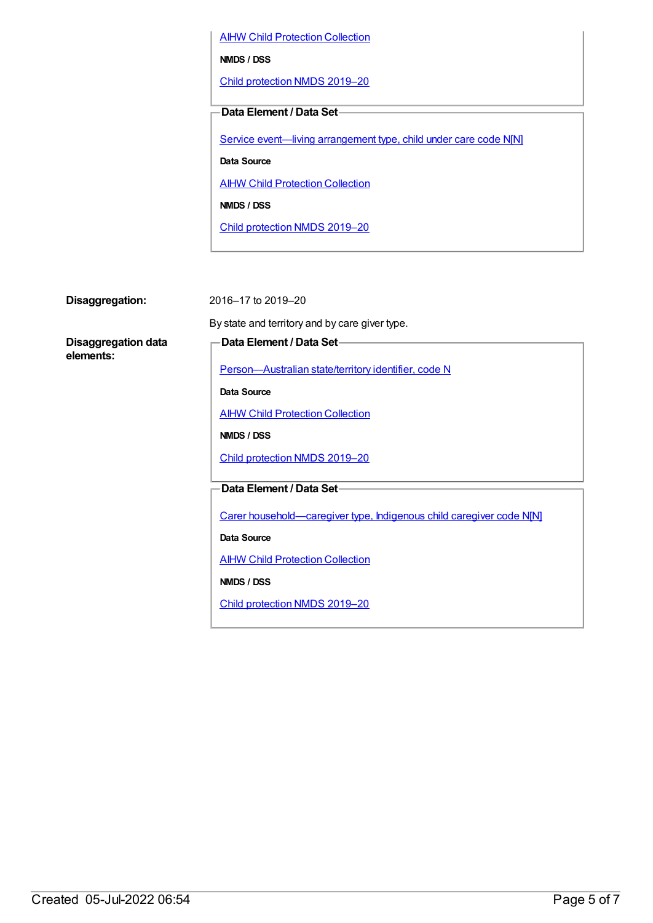**AIHW Child [Protection](https://meteor.aihw.gov.au/content/489543) Collection** 

**NMDS / DSS**

Child [protection](https://meteor.aihw.gov.au/content/740158) NMDS 2019–20

**Data Element / Data Set**

Service event—living [arrangement](https://meteor.aihw.gov.au/content/689331) type, child under care code N[N]

**Data Source**

**AIHW Child [Protection](https://meteor.aihw.gov.au/content/489543) Collection** 

**NMDS / DSS**

Child [protection](https://meteor.aihw.gov.au/content/740158) NMDS 2019–20

**Disaggregation:** 2016–17 to 2019–20

**Disaggregation data elements:**

By state and territory and by care giver type.

## **Data Element / Data Set**

[Person—Australian](https://meteor.aihw.gov.au/content/286919) state/territory identifier, code N

**Data Source**

**AIHW Child [Protection](https://meteor.aihw.gov.au/content/489543) Collection** 

**NMDS / DSS**

Child [protection](https://meteor.aihw.gov.au/content/740158) NMDS 2019–20

**Data Element / Data Set**

Carer [household—caregiver](https://meteor.aihw.gov.au/content/524944) type, Indigenous child caregiver code N[N]

**Data Source**

AIHW Child [Protection](https://meteor.aihw.gov.au/content/489543) Collection

**NMDS / DSS**

Child [protection](https://meteor.aihw.gov.au/content/740158) NMDS 2019–20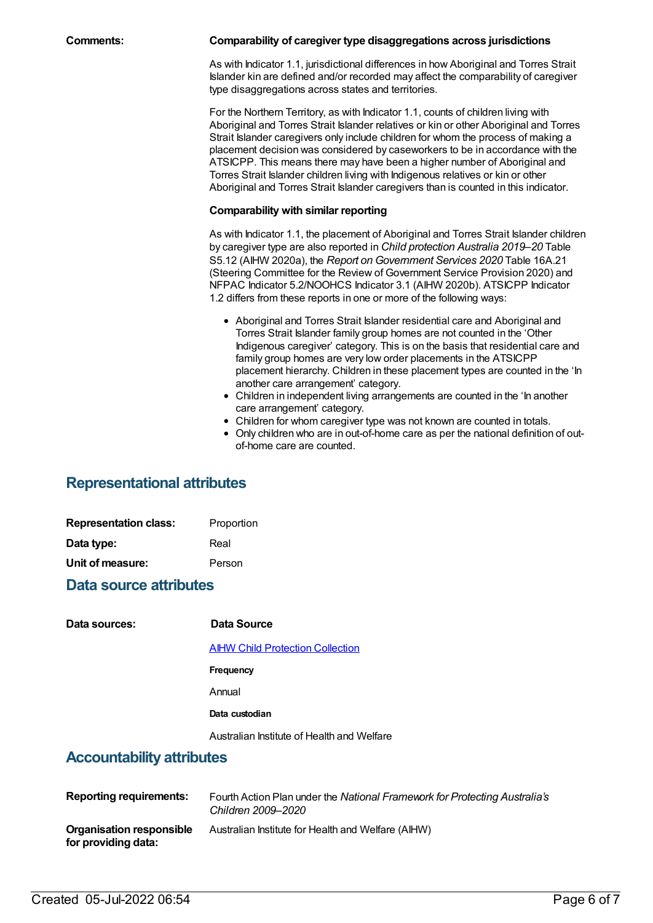| Comments: | Comparability of caregiver type disaggregations across jurisdictions                                                                                                                                                                                                                                                                                                                                                                                                                                                                                                                                                                                                                                                |
|-----------|---------------------------------------------------------------------------------------------------------------------------------------------------------------------------------------------------------------------------------------------------------------------------------------------------------------------------------------------------------------------------------------------------------------------------------------------------------------------------------------------------------------------------------------------------------------------------------------------------------------------------------------------------------------------------------------------------------------------|
|           | As with Indicator 1.1, jurisdictional differences in how Aboriginal and Torres Strait<br>Islander kin are defined and/or recorded may affect the comparability of caregiver<br>type disaggregations across states and territories.                                                                                                                                                                                                                                                                                                                                                                                                                                                                                  |
|           | For the Northern Territory, as with Indicator 1.1, counts of children living with<br>Aboriginal and Torres Strait Islander relatives or kin or other Aboriginal and Torres<br>Strait Islander caregivers only include children for whom the process of making a<br>placement decision was considered by caseworkers to be in accordance with the<br>ATSICPP. This means there may have been a higher number of Aboriginal and<br>Torres Strait Islander children living with Indigenous relatives or kin or other<br>Aboriginal and Torres Strait Islander caregivers than is counted in this indicator.                                                                                                            |
|           | <b>Comparability with similar reporting</b>                                                                                                                                                                                                                                                                                                                                                                                                                                                                                                                                                                                                                                                                         |
|           | As with Indicator 1.1, the placement of Aboriginal and Torres Strait Islander children<br>by caregiver type are also reported in Child protection Australia 2019-20 Table<br>S5.12 (AIHW 2020a), the Report on Government Services 2020 Table 16A.21<br>(Steering Committee for the Review of Government Service Provision 2020) and<br>NFPAC Indicator 5.2/NOOHCS Indicator 3.1 (AIHW 2020b). ATSICPP Indicator<br>1.2 differs from these reports in one or more of the following ways:                                                                                                                                                                                                                            |
|           | • Aboriginal and Torres Strait Islander residential care and Aboriginal and<br>Torres Strait Islander family group homes are not counted in the 'Other<br>Indigenous caregiver' category. This is on the basis that residential care and<br>family group homes are very low order placements in the ATSICPP<br>placement hierarchy. Children in these placement types are counted in the 'In<br>another care arrangement' category.<br>• Children in independent living arrangements are counted in the 'In another<br>care arrangement' category.<br>• Children for whom caregiver type was not known are counted in totals.<br>• Only children who are in out-of-home care as per the national definition of out- |

of-home care are counted.

# **Representational attributes**

| <b>Representation class:</b> | Proportion |
|------------------------------|------------|
| Data type:                   | Real       |
| Unit of measure:             | Person     |

# **Data source attributes**

| Data sources:                    | Data Source                                |
|----------------------------------|--------------------------------------------|
|                                  | <b>AIHW Child Protection Collection</b>    |
|                                  | Frequency                                  |
|                                  | Annual                                     |
|                                  | Data custodian                             |
|                                  | Australian Institute of Health and Welfare |
| <b>Accountability attributes</b> |                                            |
|                                  |                                            |

| <b>Reporting requirements:</b>                  | Fourth Action Plan under the National Framework for Protecting Australia's<br>Children 2009–2020 |
|-------------------------------------------------|--------------------------------------------------------------------------------------------------|
| Organisation responsible<br>for providing data: | Australian Institute for Health and Welfare (AIHW)                                               |